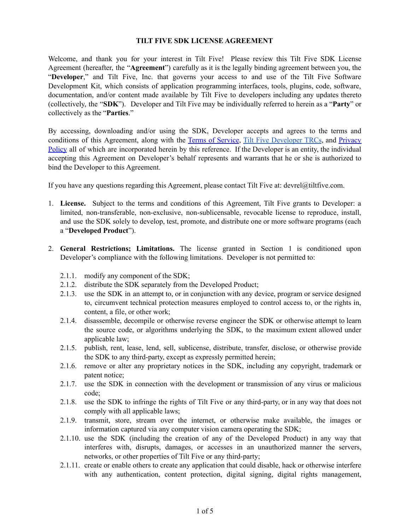## **TILT FIVE SDK LICENSE AGREEMENT**

Welcome, and thank you for your interest in Tilt Five! Please review this Tilt Five SDK License Agreement (hereafter, the "**Agreement**") carefully as it is the legally binding agreement between you, the "**Developer**," and Tilt Five, Inc. that governs your access to and use of the Tilt Five Software Development Kit, which consists of application programming interfaces, tools, plugins, code, software, documentation, and/or content made available by Tilt Five to developers including any updates thereto (collectively, the "**SDK**"). Developer and Tilt Five may be individually referred to herein as a "**Party**" or collectively as the "**Parties**."

By accessing, downloading and/or using the SDK, Developer accepts and agrees to the terms and conditions of this Agreement, along with the Terms of [Service](https://www.tiltfive.com/legal.html), Tilt Five [Developer](https://docs.google.com/document/d/1-6hoiEjG0rMymS8q-LBYfvsfSoZfQZA7sNOzcax7K2k/edit?usp=sharing) TRCs, and [Privacy](https://www.tiltfive.com/legal.html) [Policy](https://www.tiltfive.com/legal.html) all of which are incorporated herein by this reference. If the Developer is an entity, the individual accepting this Agreement on Developer's behalf represents and warrants that he or she is authorized to bind the Developer to this Agreement.

If you have any questions regarding this Agreement, please contact Tilt Five at: devrel@tiltfive.com.

- 1. **License.** Subject to the terms and conditions of this Agreement, Tilt Five grants to Developer: a limited, non-transferable, non-exclusive, non-sublicensable, revocable license to reproduce, install, and use the SDK solely to develop, test, promote, and distribute one or more software programs (each a "**Developed Product**").
- 2. **General Restrictions; Limitations.** The license granted in Section 1 is conditioned upon Developer's compliance with the following limitations. Developer is not permitted to:
	- 2.1.1. modify any component of the SDK;
	- 2.1.2. distribute the SDK separately from the Developed Product;
	- 2.1.3. use the SDK in an attempt to, or in conjunction with any device, program or service designed to, circumvent technical protection measures employed to control access to, or the rights in, content, a file, or other work;
	- 2.1.4. disassemble, decompile or otherwise reverse engineer the SDK or otherwise attempt to learn the source code, or algorithms underlying the SDK, to the maximum extent allowed under applicable law;
	- 2.1.5. publish, rent, lease, lend, sell, sublicense, distribute, transfer, disclose, or otherwise provide the SDK to any third-party, except as expressly permitted herein;
	- 2.1.6. remove or alter any proprietary notices in the SDK, including any copyright, trademark or patent notice;
	- 2.1.7. use the SDK in connection with the development or transmission of any virus or malicious code;
	- 2.1.8. use the SDK to infringe the rights of Tilt Five or any third-party, or in any way that does not comply with all applicable laws;
	- 2.1.9. transmit, store, stream over the internet, or otherwise make available, the images or information captured via any computer vision camera operating the SDK;
	- 2.1.10. use the SDK (including the creation of any of the Developed Product) in any way that interferes with, disrupts, damages, or accesses in an unauthorized manner the servers, networks, or other properties of Tilt Five or any third-party;
	- 2.1.11. create or enable others to create any application that could disable, hack or otherwise interfere with any authentication, content protection, digital signing, digital rights management,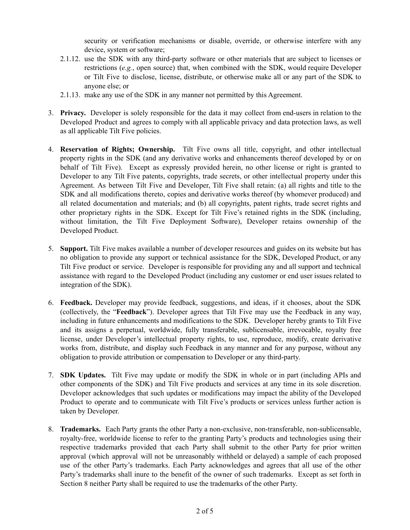security or verification mechanisms or disable, override, or otherwise interfere with any device, system or software;

- 2.1.12. use the SDK with any third-party software or other materials that are subject to licenses or restrictions (*e.g.*, open source) that, when combined with the SDK, would require Developer or Tilt Five to disclose, license, distribute, or otherwise make all or any part of the SDK to anyone else; or
- 2.1.13. make any use of the SDK in any manner not permitted by this Agreement.
- 3. **Privacy.** Developer is solely responsible for the data it may collect from end-users in relation to the Developed Product and agrees to comply with all applicable privacy and data protection laws, as well as all applicable Tilt Five policies.
- 4. **Reservation of Rights; Ownership.** Tilt Five owns all title, copyright, and other intellectual property rights in the SDK (and any derivative works and enhancements thereof developed by or on behalf of Tilt Five). Except as expressly provided herein, no other license or right is granted to Developer to any Tilt Five patents, copyrights, trade secrets, or other intellectual property under this Agreement. As between Tilt Five and Developer, Tilt Five shall retain: (a) all rights and title to the SDK and all modifications thereto, copies and derivative works thereof (by whomever produced) and all related documentation and materials; and (b) all copyrights, patent rights, trade secret rights and other proprietary rights in the SDK. Except for Tilt Five's retained rights in the SDK (including, without limitation, the Tilt Five Deployment Software), Developer retains ownership of the Developed Product.
- 5. **Support.** Tilt Five makes available a number of developer resources and guides on its website but has no obligation to provide any support or technical assistance for the SDK, Developed Product, or any Tilt Five product or service. Developer is responsible for providing any and all support and technical assistance with regard to the Developed Product (including any customer or end user issues related to integration of the SDK).
- 6. **Feedback.** Developer may provide feedback, suggestions, and ideas, if it chooses, about the SDK (collectively, the "**Feedback**"). Developer agrees that Tilt Five may use the Feedback in any way, including in future enhancements and modifications to the SDK. Developer hereby grants to Tilt Five and its assigns a perpetual, worldwide, fully transferable, sublicensable, irrevocable, royalty free license, under Developer's intellectual property rights, to use, reproduce, modify, create derivative works from, distribute, and display such Feedback in any manner and for any purpose, without any obligation to provide attribution or compensation to Developer or any third-party.
- 7. **SDK Updates.** Tilt Five may update or modify the SDK in whole or in part (including APIs and other components of the SDK) and Tilt Five products and services at any time in its sole discretion. Developer acknowledges that such updates or modifications may impact the ability of the Developed Product to operate and to communicate with Tilt Five's products or services unless further action is taken by Developer.
- 8. **Trademarks.** Each Party grants the other Party a non-exclusive, non-transferable, non-sublicensable, royalty-free, worldwide license to refer to the granting Party's products and technologies using their respective trademarks provided that each Party shall submit to the other Party for prior written approval (which approval will not be unreasonably withheld or delayed) a sample of each proposed use of the other Party's trademarks. Each Party acknowledges and agrees that all use of the other Party's trademarks shall inure to the benefit of the owner of such trademarks. Except as set forth in Section 8 neither Party shall be required to use the trademarks of the other Party.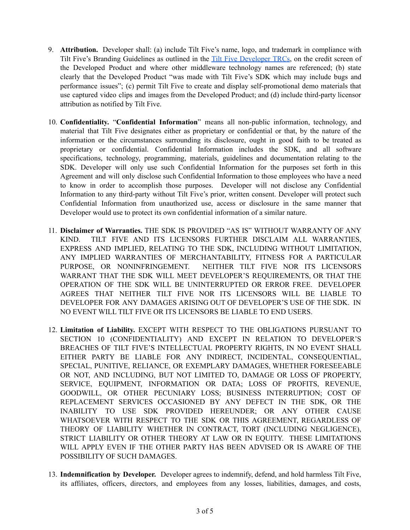- 9. **Attribution.** Developer shall: (a) include Tilt Five's name, logo, and trademark in compliance with Tilt Five's Branding Guidelines as outlined in the Tilt Five [Developer](https://docs.google.com/document/d/1-6hoiEjG0rMymS8q-LBYfvsfSoZfQZA7sNOzcax7K2k/edit?usp=sharing) TRCs, on the credit screen of the Developed Product and where other middleware technology names are referenced; (b) state clearly that the Developed Product "was made with Tilt Five's SDK which may include bugs and performance issues"; (c) permit Tilt Five to create and display self-promotional demo materials that use captured video clips and images from the Developed Product; and (d) include third-party licensor attribution as notified by Tilt Five.
- 10. **Confidentiality.** "**Confidential Information**" means all non-public information, technology, and material that Tilt Five designates either as proprietary or confidential or that, by the nature of the information or the circumstances surrounding its disclosure, ought in good faith to be treated as proprietary or confidential. Confidential Information includes the SDK, and all software specifications, technology, programming, materials, guidelines and documentation relating to the SDK. Developer will only use such Confidential Information for the purposes set forth in this Agreement and will only disclose such Confidential Information to those employees who have a need to know in order to accomplish those purposes. Developer will not disclose any Confidential Information to any third-party without Tilt Five's prior, written consent. Developer will protect such Confidential Information from unauthorized use, access or disclosure in the same manner that Developer would use to protect its own confidential information of a similar nature.
- 11. **Disclaimer of Warranties.** THE SDK IS PROVIDED "AS IS" WITHOUT WARRANTY OF ANY KIND. TILT FIVE AND ITS LICENSORS FURTHER DISCLAIM ALL WARRANTIES, EXPRESS AND IMPLIED, RELATING TO THE SDK, INCLUDING WITHOUT LIMITATION, ANY IMPLIED WARRANTIES OF MERCHANTABILITY, FITNESS FOR A PARTICULAR PURPOSE, OR NONINFRINGEMENT. NEITHER TILT FIVE NOR ITS LICENSORS WARRANT THAT THE SDK WILL MEET DEVELOPER'S REQUIREMENTS, OR THAT THE OPERATION OF THE SDK WILL BE UNINTERRUPTED OR ERROR FREE. DEVELOPER AGREES THAT NEITHER TILT FIVE NOR ITS LICENSORS WILL BE LIABLE TO DEVELOPER FOR ANY DAMAGES ARISING OUT OF DEVELOPER'S USE OF THE SDK. IN NO EVENT WILL TILT FIVE OR ITS LICENSORS BE LIABLE TO END USERS.
- 12. **Limitation of Liability.** EXCEPT WITH RESPECT TO THE OBLIGATIONS PURSUANT TO SECTION 10 (CONFIDENTIALITY) AND EXCEPT IN RELATION TO DEVELOPER'S BREACHES OF TILT FIVE'S INTELLECTUAL PROPERTY RIGHTS, IN NO EVENT SHALL EITHER PARTY BE LIABLE FOR ANY INDIRECT, INCIDENTAL, CONSEQUENTIAL, SPECIAL, PUNITIVE, RELIANCE, OR EXEMPLARY DAMAGES, WHETHER FORESEEABLE OR NOT, AND INCLUDING, BUT NOT LIMITED TO, DAMAGE OR LOSS OF PROPERTY, SERVICE, EQUIPMENT, INFORMATION OR DATA; LOSS OF PROFITS, REVENUE, GOODWILL, OR OTHER PECUNIARY LOSS; BUSINESS INTERRUPTION; COST OF REPLACEMENT SERVICES OCCASIONED BY ANY DEFECT IN THE SDK, OR THE INABILITY TO USE SDK PROVIDED HEREUNDER; OR ANY OTHER CAUSE WHATSOEVER WITH RESPECT TO THE SDK OR THIS AGREEMENT, REGARDLESS OF THEORY OF LIABILITY WHETHER IN CONTRACT, TORT (INCLUDING NEGLIGENCE), STRICT LIABILITY OR OTHER THEORY AT LAW OR IN EQUITY. THESE LIMITATIONS WILL APPLY EVEN IF THE OTHER PARTY HAS BEEN ADVISED OR IS AWARE OF THE POSSIBILITY OF SUCH DAMAGES.
- 13. **Indemnification by Developer.** Developer agrees to indemnify, defend, and hold harmless Tilt Five, its affiliates, officers, directors, and employees from any losses, liabilities, damages, and costs,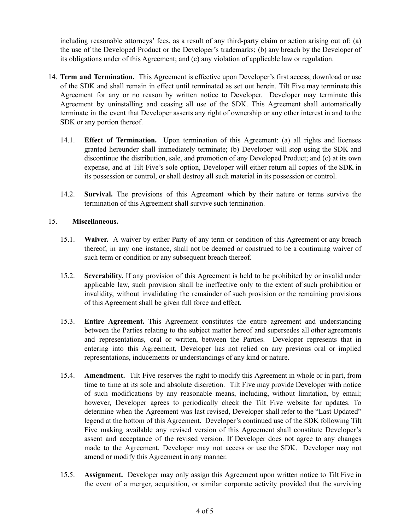including reasonable attorneys' fees, as a result of any third-party claim or action arising out of: (a) the use of the Developed Product or the Developer's trademarks; (b) any breach by the Developer of its obligations under of this Agreement; and (c) any violation of applicable law or regulation.

- 14. **Term and Termination.** This Agreement is effective upon Developer's first access, download or use of the SDK and shall remain in effect until terminated as set out herein. Tilt Five may terminate this Agreement for any or no reason by written notice to Developer. Developer may terminate this Agreement by uninstalling and ceasing all use of the SDK. This Agreement shall automatically terminate in the event that Developer asserts any right of ownership or any other interest in and to the SDK or any portion thereof.
	- 14.1. **Effect of Termination.** Upon termination of this Agreement: (a) all rights and licenses granted hereunder shall immediately terminate; (b) Developer will stop using the SDK and discontinue the distribution, sale, and promotion of any Developed Product; and (c) at its own expense, and at Tilt Five's sole option, Developer will either return all copies of the SDK in its possession or control, or shall destroy all such material in its possession or control.
	- 14.2. **Survival.** The provisions of this Agreement which by their nature or terms survive the termination of this Agreement shall survive such termination.

## 15. **Miscellaneous.**

- 15.1. **Waiver.** A waiver by either Party of any term or condition of this Agreement or any breach thereof, in any one instance, shall not be deemed or construed to be a continuing waiver of such term or condition or any subsequent breach thereof.
- 15.2. **Severability.** If any provision of this Agreement is held to be prohibited by or invalid under applicable law, such provision shall be ineffective only to the extent of such prohibition or invalidity, without invalidating the remainder of such provision or the remaining provisions of this Agreement shall be given full force and effect.
- 15.3. **Entire Agreement.** This Agreement constitutes the entire agreement and understanding between the Parties relating to the subject matter hereof and supersedes all other agreements and representations, oral or written, between the Parties. Developer represents that in entering into this Agreement, Developer has not relied on any previous oral or implied representations, inducements or understandings of any kind or nature.
- 15.4. **Amendment.** Tilt Five reserves the right to modify this Agreement in whole or in part, from time to time at its sole and absolute discretion. Tilt Five may provide Developer with notice of such modifications by any reasonable means, including, without limitation, by email; however, Developer agrees to periodically check the Tilt Five website for updates. To determine when the Agreement was last revised, Developer shall refer to the "Last Updated" legend at the bottom of this Agreement. Developer's continued use of the SDK following Tilt Five making available any revised version of this Agreement shall constitute Developer's assent and acceptance of the revised version. If Developer does not agree to any changes made to the Agreement, Developer may not access or use the SDK. Developer may not amend or modify this Agreement in any manner.
- 15.5. **Assignment.** Developer may only assign this Agreement upon written notice to Tilt Five in the event of a merger, acquisition, or similar corporate activity provided that the surviving